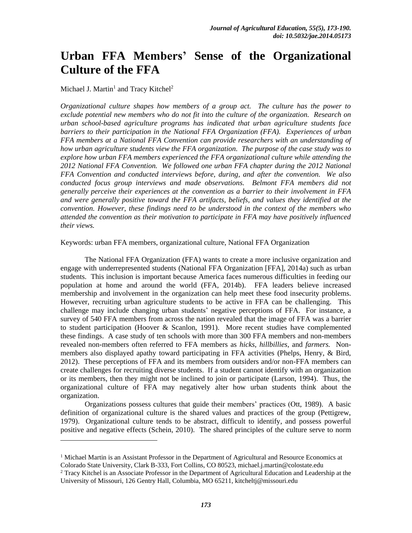# **Urban FFA Members' Sense of the Organizational Culture of the FFA**

## Michael J. Martin<sup>1</sup> and Tracy Kitchel<sup>2</sup>

 $\overline{a}$ 

*Organizational culture shapes how members of a group act. The culture has the power to exclude potential new members who do not fit into the culture of the organization. Research on urban school-based agriculture programs has indicated that urban agriculture students face barriers to their participation in the National FFA Organization (FFA). Experiences of urban FFA members at a National FFA Convention can provide researchers with an understanding of how urban agriculture students view the FFA organization. The purpose of the case study was to explore how urban FFA members experienced the FFA organizational culture while attending the 2012 National FFA Convention. We followed one urban FFA chapter during the 2012 National FFA Convention and conducted interviews before, during, and after the convention. We also conducted focus group interviews and made observations. Belmont FFA members did not generally perceive their experiences at the convention as a barrier to their involvement in FFA and were generally positive toward the FFA artifacts, beliefs, and values they identified at the convention. However, these findings need to be understood in the context of the members who attended the convention as their motivation to participate in FFA may have positively influenced their views.* 

Keywords: urban FFA members, organizational culture, National FFA Organization

The National FFA Organization (FFA) wants to create a more inclusive organization and engage with underrepresented students (National FFA Organization [FFA], 2014a) such as urban students. This inclusion is important because America faces numerous difficulties in feeding our population at home and around the world (FFA, 2014b). FFA leaders believe increased membership and involvement in the organization can help meet these food insecurity problems. However, recruiting urban agriculture students to be active in FFA can be challenging. This challenge may include changing urban students' negative perceptions of FFA. For instance, a survey of 540 FFA members from across the nation revealed that the image of FFA was a barrier to student participation (Hoover & Scanlon, 1991). More recent studies have complemented these findings. A case study of ten schools with more than 300 FFA members and non-members revealed non-members often referred to FFA members as *hicks*, *hillbillies*, and *farmers.* Nonmembers also displayed apathy toward participating in FFA activities (Phelps, Henry, & Bird, 2012). These perceptions of FFA and its members from outsiders and/or non-FFA members can create challenges for recruiting diverse students. If a student cannot identify with an organization or its members, then they might not be inclined to join or participate (Larson, 1994). Thus, the organizational culture of FFA may negatively alter how urban students think about the organization.

Organizations possess cultures that guide their members' practices (Ott, 1989). A basic definition of organizational culture is the shared values and practices of the group (Pettigrew, 1979). Organizational culture tends to be abstract, difficult to identify, and possess powerful positive and negative effects (Schein, 2010). The shared principles of the culture serve to norm

 $1$  Michael Martin is an Assistant Professor in the Department of Agricultural and Resource Economics at Colorado State University, Clark B-333, Fort Collins, CO 80523, michael.j.martin@colostate.edu

<sup>2</sup> Tracy Kitchel is an Associate Professor in the Department of Agricultural Education and Leadership at the University of Missouri, 126 Gentry Hall, Columbia, MO 65211, kitcheltj@missouri.edu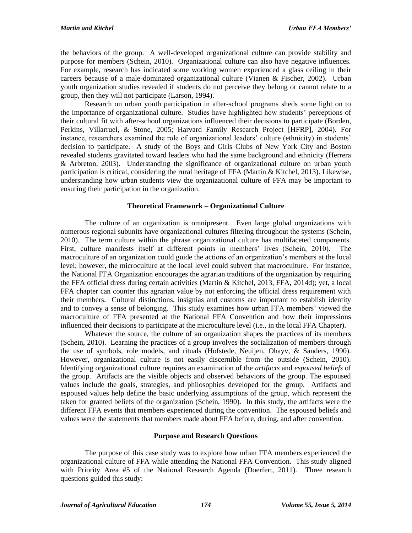the behaviors of the group. A well-developed organizational culture can provide stability and purpose for members (Schein, 2010). Organizational culture can also have negative influences. For example, research has indicated some working women experienced a glass ceiling in their careers because of a male-dominated organizational culture (Vianen & Fischer, 2002). Urban youth organization studies revealed if students do not perceive they belong or cannot relate to a group, then they will not participate (Larson, 1994).

Research on urban youth participation in after-school programs sheds some light on to the importance of organizational culture. Studies have highlighted how students' perceptions of their cultural fit with after-school organizations influenced their decisions to participate (Borden, Perkins, Villarruel, & Stone, 2005; Harvard Family Research Project [HFRP], 2004). For instance, researchers examined the role of organizational leaders' culture (ethnicity) in students' decision to participate. A study of the Boys and Girls Clubs of New York City and Boston revealed students gravitated toward leaders who had the same background and ethnicity (Herrera & Arbreton, 2003). Understanding the significance of organizational culture on urban youth participation is critical, considering the rural heritage of FFA (Martin & Kitchel, 2013). Likewise, understanding how urban students view the organizational culture of FFA may be important to ensuring their participation in the organization.

## **Theoretical Framework – Organizational Culture**

The culture of an organization is omnipresent. Even large global organizations with numerous regional subunits have organizational cultures filtering throughout the systems (Schein, 2010). The term culture within the phrase organizational culture has multifaceted components. First, culture manifests itself at different points in members' lives (Schein, 2010). The macroculture of an organization could guide the actions of an organization's members at the local level; however, the microculture at the local level could subvert that macroculture. For instance, the National FFA Organization encourages the agrarian traditions of the organization by requiring the FFA official dress during certain activities (Martin & Kitchel, 2013, FFA, 2014d); yet, a local FFA chapter can counter this agrarian value by not enforcing the official dress requirement with their members. Cultural distinctions, insignias and customs are important to establish identity and to convey a sense of belonging. This study examines how urban FFA members' viewed the macroculture of FFA presented at the National FFA Convention and how their impressions influenced their decisions to participate at the microculture level (i.e., in the local FFA Chapter).

Whatever the source, the culture of an organization shapes the practices of its members (Schein, 2010). Learning the practices of a group involves the socialization of members through the use of symbols, role models, and rituals (Hofstede, Neuijen, Ohayv, & Sanders, 1990). However, organizational culture is not easily discernible from the outside (Schein, 2010). Identifying organizational culture requires an examination of the *artifacts* and *espoused beliefs* of the group. Artifacts are the visible objects and observed behaviors of the group. The espoused values include the goals, strategies, and philosophies developed for the group. Artifacts and espoused values help define the basic underlying assumptions of the group, which represent the taken for granted beliefs of the organization (Schein, 1990). In this study, the artifacts were the different FFA events that members experienced during the convention. The espoused beliefs and values were the statements that members made about FFA before, during, and after convention.

## **Purpose and Research Questions**

The purpose of this case study was to explore how urban FFA members experienced the organizational culture of FFA while attending the National FFA Convention. This study aligned with Priority Area #5 of the National Research Agenda (Doerfert, 2011). Three research questions guided this study: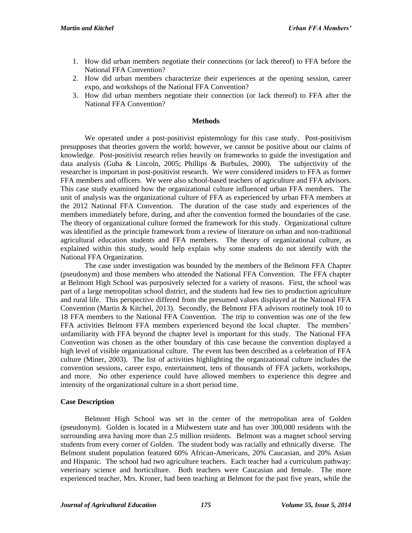- 1. How did urban members negotiate their connections (or lack thereof) to FFA before the National FFA Convention?
- 2. How did urban members characterize their experiences at the opening session, career expo, and workshops of the National FFA Convention?
- 3. How did urban members negotiate their connection (or lack thereof) to FFA after the National FFA Convention?

#### **Methods**

We operated under a post-positivist epistemology for this case study. Post-positivism presupposes that theories govern the world; however, we cannot be positive about our claims of knowledge. Post-positivist research relies heavily on frameworks to guide the investigation and data analysis (Guba & Lincoln, 2005; Phillips & Burbules, 2000). The subjectivity of the researcher is important in post-positivist research. We were considered insiders to FFA as former FFA members and officers. We were also school-based teachers of agriculture and FFA advisors. This case study examined how the organizational culture influenced urban FFA members. The unit of analysis was the organizational culture of FFA as experienced by urban FFA members at the 2012 National FFA Convention. The duration of the case study and experiences of the members immediately before, during, and after the convention formed the boundaries of the case. The theory of organizational culture formed the framework for this study. Organizational culture was identified as the principle framework from a review of literature on urban and non-traditional agricultural education students and FFA members. The theory of organizational culture, as explained within this study, would help explain why some students do not identify with the National FFA Organization.

The case under investigation was bounded by the members of the Belmont FFA Chapter (pseudonym) and those members who attended the National FFA Convention. The FFA chapter at Belmont High School was purposively selected for a variety of reasons. First, the school was part of a large metropolitan school district, and the students had few ties to production agriculture and rural life. This perspective differed from the presumed values displayed at the National FFA Convention (Martin & Kitchel, 2013). Secondly, the Belmont FFA advisors routinely took 10 to 18 FFA members to the National FFA Convention. The trip to convention was one of the few FFA activities Belmont FFA members experienced beyond the local chapter. The members' unfamiliarity with FFA beyond the chapter level is important for this study. The National FFA Convention was chosen as the other boundary of this case because the convention displayed a high level of visible organizational culture. The event has been described as a celebration of FFA culture (Miner, 2003). The list of activities highlighting the organizational culture includes the convention sessions, career expo, entertainment, tens of thousands of FFA jackets, workshops, and more. No other experience could have allowed members to experience this degree and intensity of the organizational culture in a short period time.

#### **Case Description**

Belmont High School was set in the center of the metropolitan area of Golden (pseudonym). Golden is located in a Midwestern state and has over 300,000 residents with the surrounding area having more than 2.5 million residents. Belmont was a magnet school serving students from every corner of Golden. The student body was racially and ethnically diverse. The Belmont student population featured 60% African-Americans, 20% Caucasian, and 20% Asian and Hispanic. The school had two agriculture teachers. Each teacher had a curriculum pathway: veterinary science and horticulture. Both teachers were Caucasian and female. The more experienced teacher, Mrs. Kroner, had been teaching at Belmont for the past five years, while the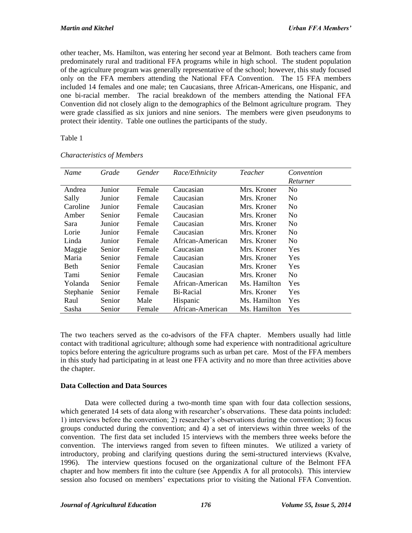other teacher, Ms. Hamilton, was entering her second year at Belmont. Both teachers came from predominately rural and traditional FFA programs while in high school. The student population of the agriculture program was generally representative of the school; however, this study focused only on the FFA members attending the National FFA Convention. The 15 FFA members included 14 females and one male; ten Caucasians, three African-Americans, one Hispanic, and one bi-racial member. The racial breakdown of the members attending the National FFA Convention did not closely align to the demographics of the Belmont agriculture program. They were grade classified as six juniors and nine seniors. The members were given pseudonyms to protect their identity. Table one outlines the participants of the study.

## Table 1

| Name      | Grade  | Gender | Race/Ethnicity   | Teacher      | Convention     |
|-----------|--------|--------|------------------|--------------|----------------|
|           |        |        |                  |              | Returner       |
| Andrea    | Junior | Female | Caucasian        | Mrs. Kroner  | No             |
| Sally     | Junior | Female | Caucasian        | Mrs. Kroner  | No             |
| Caroline  | Junior | Female | Caucasian        | Mrs. Kroner  | No             |
| Amber     | Senior | Female | Caucasian        | Mrs. Kroner  | No             |
| Sara      | Junior | Female | Caucasian        | Mrs. Kroner  | N <sub>0</sub> |
| Lorie     | Junior | Female | Caucasian        | Mrs. Kroner  | N <sub>0</sub> |
| Linda     | Junior | Female | African-American | Mrs. Kroner  | N <sub>0</sub> |
| Maggie    | Senior | Female | Caucasian        | Mrs. Kroner  | Yes            |
| Maria     | Senior | Female | Caucasian        | Mrs. Kroner  | Yes            |
| Beth      | Senior | Female | Caucasian        | Mrs. Kroner  | Yes            |
| Tami      | Senior | Female | Caucasian        | Mrs. Kroner  | No             |
| Yolanda   | Senior | Female | African-American | Ms. Hamilton | <b>Yes</b>     |
| Stephanie | Senior | Female | Bi-Racial        | Mrs. Kroner  | Yes            |
| Raul      | Senior | Male   | Hispanic         | Ms. Hamilton | Yes            |
| Sasha     | Senior | Female | African-American | Ms. Hamilton | Yes            |

*Characteristics of Members* 

The two teachers served as the co-advisors of the FFA chapter. Members usually had little contact with traditional agriculture; although some had experience with nontraditional agriculture topics before entering the agriculture programs such as urban pet care. Most of the FFA members in this study had participating in at least one FFA activity and no more than three activities above the chapter.

## **Data Collection and Data Sources**

Data were collected during a two-month time span with four data collection sessions, which generated 14 sets of data along with researcher's observations. These data points included: 1) interviews before the convention; 2) researcher's observations during the convention; 3) focus groups conducted during the convention; and 4) a set of interviews within three weeks of the convention. The first data set included 15 interviews with the members three weeks before the convention. The interviews ranged from seven to fifteen minutes. We utilized a variety of introductory, probing and clarifying questions during the semi-structured interviews (Kvalve, 1996). The interview questions focused on the organizational culture of the Belmont FFA chapter and how members fit into the culture (see Appendix A for all protocols). This interview session also focused on members' expectations prior to visiting the National FFA Convention.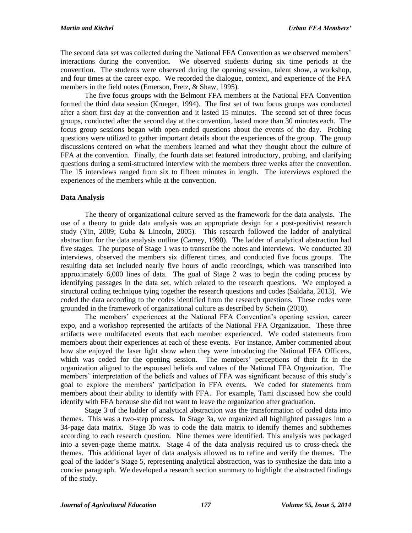The second data set was collected during the National FFA Convention as we observed members' interactions during the convention. We observed students during six time periods at the convention. The students were observed during the opening session, talent show, a workshop, and four times at the career expo. We recorded the dialogue, context, and experience of the FFA members in the field notes (Emerson, Fretz, & Shaw, 1995).

The five focus groups with the Belmont FFA members at the National FFA Convention formed the third data session (Krueger, 1994). The first set of two focus groups was conducted after a short first day at the convention and it lasted 15 minutes. The second set of three focus groups, conducted after the second day at the convention, lasted more than 30 minutes each. The focus group sessions began with open-ended questions about the events of the day. Probing questions were utilized to gather important details about the experiences of the group. The group discussions centered on what the members learned and what they thought about the culture of FFA at the convention. Finally, the fourth data set featured introductory, probing, and clarifying questions during a semi-structured interview with the members three weeks after the convention. The 15 interviews ranged from six to fifteen minutes in length. The interviews explored the experiences of the members while at the convention.

## **Data Analysis**

The theory of organizational culture served as the framework for the data analysis. The use of a theory to guide data analysis was an appropriate design for a post-positivist research study (Yin, 2009; Guba & Lincoln, 2005). This research followed the ladder of analytical abstraction for the data analysis outline (Carney, 1990). The ladder of analytical abstraction had five stages.The purpose of Stage 1 was to transcribe the notes and interviews. We conducted 30 interviews, observed the members six different times, and conducted five focus groups. The resulting data set included nearly five hours of audio recordings, which was transcribed into approximately 6,000 lines of data. The goal of Stage 2 was to begin the coding process by identifying passages in the data set, which related to the research questions. We employed a structural coding technique tying together the research questions and codes (Saldaña, 2013). We coded the data according to the codes identified from the research questions. These codes were grounded in the framework of organizational culture as described by Schein (2010).

The members' experiences at the National FFA Convention's opening session, career expo, and a workshop represented the artifacts of the National FFA Organization. These three artifacts were multifaceted events that each member experienced. We coded statements from members about their experiences at each of these events. For instance, Amber commented about how she enjoyed the laser light show when they were introducing the National FFA Officers, which was coded for the opening session. The members' perceptions of their fit in the organization aligned to the espoused beliefs and values of the National FFA Organization. The members' interpretation of the beliefs and values of FFA was significant because of this study's goal to explore the members' participation in FFA events. We coded for statements from members about their ability to identify with FFA. For example, Tami discussed how she could identify with FFA because she did not want to leave the organization after graduation.

Stage 3 of the ladder of analytical abstraction was the transformation of coded data into themes. This was a two-step process. In Stage 3a, we organized all highlighted passages into a 34-page data matrix. Stage 3b was to code the data matrix to identify themes and subthemes according to each research question. Nine themes were identified. This analysis was packaged into a seven-page theme matrix. Stage 4 of the data analysis required us to cross-check the themes. This additional layer of data analysis allowed us to refine and verify the themes. The goal of the ladder's Stage 5, representing analytical abstraction, was to synthesize the data into a concise paragraph. We developed a research section summary to highlight the abstracted findings of the study.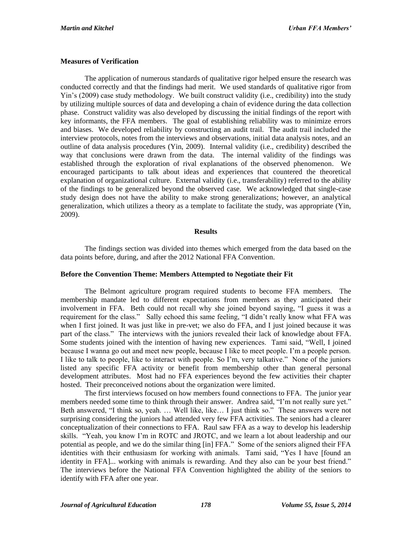## **Measures of Verification**

The application of numerous standards of qualitative rigor helped ensure the research was conducted correctly and that the findings had merit. We used standards of qualitative rigor from Yin's (2009) case study methodology. We built construct validity (i.e., credibility) into the study by utilizing multiple sources of data and developing a chain of evidence during the data collection phase. Construct validity was also developed by discussing the initial findings of the report with key informants, the FFA members. The goal of establishing reliability was to minimize errors and biases. We developed reliability by constructing an audit trail. The audit trail included the interview protocols, notes from the interviews and observations, initial data analysis notes, and an outline of data analysis procedures (Yin, 2009). Internal validity (i.e., credibility) described the way that conclusions were drawn from the data. The internal validity of the findings was established through the exploration of rival explanations of the observed phenomenon. We encouraged participants to talk about ideas and experiences that countered the theoretical explanation of organizational culture. External validity (i.e., transferability) referred to the ability of the findings to be generalized beyond the observed case. We acknowledged that single-case study design does not have the ability to make strong generalizations; however, an analytical generalization, which utilizes a theory as a template to facilitate the study, was appropriate (Yin, 2009).

## **Results**

The findings section was divided into themes which emerged from the data based on the data points before, during, and after the 2012 National FFA Convention.

## **Before the Convention Theme: Members Attempted to Negotiate their Fit**

The Belmont agriculture program required students to become FFA members. The membership mandate led to different expectations from members as they anticipated their involvement in FFA. Beth could not recall why she joined beyond saying, "I guess it was a requirement for the class." Sally echoed this same feeling, "I didn't really know what FFA was when I first joined. It was just like in pre-vet; we also do FFA, and I just joined because it was part of the class." The interviews with the juniors revealed their lack of knowledge about FFA. Some students joined with the intention of having new experiences. Tami said, "Well, I joined because I wanna go out and meet new people, because I like to meet people. I'm a people person. I like to talk to people, like to interact with people. So I'm, very talkative." None of the juniors listed any specific FFA activity or benefit from membership other than general personal development attributes. Most had no FFA experiences beyond the few activities their chapter hosted. Their preconceived notions about the organization were limited.

The first interviews focused on how members found connections to FFA. The junior year members needed some time to think through their answer. Andrea said, "I'm not really sure yet." Beth answered, "I think so, yeah. … Well like, like… I just think so." These answers were not surprising considering the juniors had attended very few FFA activities. The seniors had a clearer conceptualization of their connections to FFA. Raul saw FFA as a way to develop his leadership skills. "Yeah, you know I'm in ROTC and JROTC, and we learn a lot about leadership and our potential as people, and we do the similar thing [in] FFA." Some of the seniors aligned their FFA identities with their enthusiasm for working with animals. Tami said, "Yes I have [found an identity in FFA]... working with animals is rewarding. And they also can be your best friend." The interviews before the National FFA Convention highlighted the ability of the seniors to identify with FFA after one year.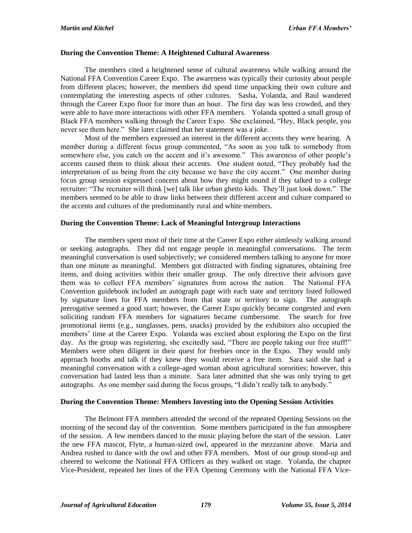#### **During the Convention Theme: A Heightened Cultural Awareness**

The members cited a heightened sense of cultural awareness while walking around the National FFA Convention Career Expo. The awareness was typically their curiosity about people from different places; however, the members did spend time unpacking their own culture and contemplating the interesting aspects of other cultures. Sasha, Yolanda, and Raul wandered through the Career Expo floor for more than an hour. The first day was less crowded, and they were able to have more interactions with other FFA members. Yolanda spotted a small group of Black FFA members walking through the Career Expo. She exclaimed, "Hey, Black people, you never see them here." She later claimed that her statement was a joke.

Most of the members expressed an interest in the different accents they were hearing. A member during a different focus group commented, "As soon as you talk to somebody from somewhere else, you catch on the accent and it's awesome." This awareness of other people's accents caused them to think about their accents. One student noted, "They probably had the interpretation of us being from the city because we have the city accent." One member during focus group session expressed concern about how they might sound if they talked to a college recruiter: "The recruiter will think [we] talk like urban ghetto kids. They'll just look down." The members seemed to be able to draw links between their different accent and culture compared to the accents and cultures of the predominantly rural and white members.

#### **During the Convention Theme: Lack of Meaningful Intergroup Interactions**

The members spent most of their time at the Career Expo either aimlessly walking around or seeking autographs. They did not engage people in meaningful conversations. The term meaningful conversation is used subjectively; we considered members talking to anyone for more than one minute as meaningful. Members got distracted with finding signatures, obtaining free items, and doing activities within their smaller group. The only directive their advisors gave them was to collect FFA members' signatures from across the nation. The National FFA Convention guidebook included an autograph page with each state and territory listed followed by signature lines for FFA members from that state or territory to sign. The autograph prerogative seemed a good start; however, the Career Expo quickly became congested and even soliciting random FFA members for signatures became cumbersome. The search for free promotional items (e.g., sunglasses, pens, snacks) provided by the exhibitors also occupied the members' time at the Career Expo. Yolanda was excited about exploring the Expo on the first day. As the group was registering, she excitedly said, "There are people taking our free stuff!" Members were often diligent in their quest for freebies once in the Expo. They would only approach booths and talk if they knew they would receive a free item. Sara said she had a meaningful conversation with a college-aged woman about agricultural sororities; however, this conversation had lasted less than a minute. Sara later admitted that she was only trying to get autographs. As one member said during the focus groups, "I didn't really talk to anybody."

## **During the Convention Theme: Members Investing into the Opening Session Activities**

The Belmont FFA members attended the second of the repeated Opening Sessions on the morning of the second day of the convention. Some members participated in the fun atmosphere of the session. A few members danced to the music playing before the start of the session. Later the new FFA mascot, Flyte, a human-sized owl, appeared in the mezzanine above. Maria and Andrea rushed to dance with the owl and other FFA members. Most of our group stood-up and cheered to welcome the National FFA Officers as they walked on stage. Yolanda, the chapter Vice-President, repeated her lines of the FFA Opening Ceremony with the National FFA Vice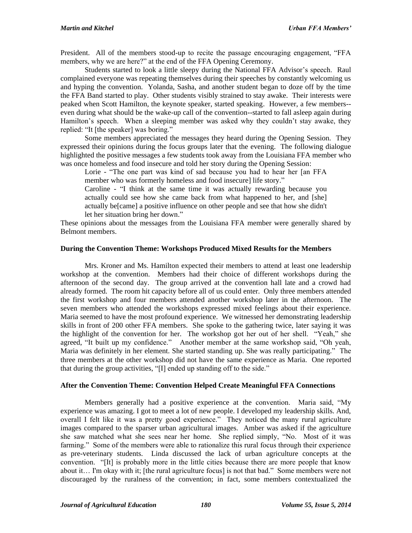President. All of the members stood-up to recite the passage encouraging engagement, "FFA members, why we are here?" at the end of the FFA Opening Ceremony.

Students started to look a little sleepy during the National FFA Advisor's speech. Raul complained everyone was repeating themselves during their speeches by constantly welcoming us and hyping the convention. Yolanda, Sasha, and another student began to doze off by the time the FFA Band started to play. Other students visibly strained to stay awake. Their interests were peaked when Scott Hamilton, the keynote speaker, started speaking. However, a few members- even during what should be the wake-up call of the convention--started to fall asleep again during Hamilton's speech. When a sleeping member was asked why they couldn't stay awake, they replied: "It [the speaker] was boring."

Some members appreciated the messages they heard during the Opening Session. They expressed their opinions during the focus groups later that the evening. The following dialogue highlighted the positive messages a few students took away from the Louisiana FFA member who was once homeless and food insecure and told her story during the Opening Session:

Lorie - "The one part was kind of sad because you had to hear her [an FFA member who was formerly homeless and food insecure] life story."

Caroline - "I think at the same time it was actually rewarding because you actually could see how she came back from what happened to her, and [she] actually be[came] a positive influence on other people and see that how she didn't let her situation bring her down."

These opinions about the messages from the Louisiana FFA member were generally shared by Belmont members.

#### **During the Convention Theme: Workshops Produced Mixed Results for the Members**

Mrs. Kroner and Ms. Hamilton expected their members to attend at least one leadership workshop at the convention. Members had their choice of different workshops during the afternoon of the second day. The group arrived at the convention hall late and a crowd had already formed. The room hit capacity before all of us could enter. Only three members attended the first workshop and four members attended another workshop later in the afternoon. The seven members who attended the workshops expressed mixed feelings about their experience. Maria seemed to have the most profound experience. We witnessed her demonstrating leadership skills in front of 200 other FFA members. She spoke to the gathering twice, later saying it was the highlight of the convention for her. The workshop got her out of her shell. "Yeah," she agreed, "It built up my confidence." Another member at the same workshop said, "Oh yeah, Maria was definitely in her element. She started standing up. She was really participating." The three members at the other workshop did not have the same experience as Maria. One reported that during the group activities, "[I] ended up standing off to the side."

## **After the Convention Theme: Convention Helped Create Meaningful FFA Connections**

Members generally had a positive experience at the convention. Maria said, "My experience was amazing. I got to meet a lot of new people. I developed my leadership skills. And, overall I felt like it was a pretty good experience." They noticed the many rural agriculture images compared to the sparser urban agricultural images. Amber was asked if the agriculture she saw matched what she sees near her home. She replied simply, "No. Most of it was farming." Some of the members were able to rationalize this rural focus through their experience as pre-veterinary students. Linda discussed the lack of urban agriculture concepts at the convention. "[It] is probably more in the little cities because there are more people that know about it… I'm okay with it; [the rural agriculture focus] is not that bad." Some members were not discouraged by the ruralness of the convention; in fact, some members contextualized the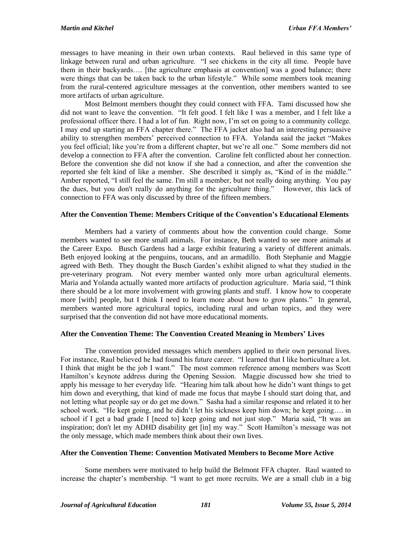messages to have meaning in their own urban contexts. Raul believed in this same type of linkage between rural and urban agriculture. "I see chickens in the city all time. People have them in their backyards…. [the agriculture emphasis at convention] was a good balance; there were things that can be taken back to the urban lifestyle." While some members took meaning from the rural-centered agriculture messages at the convention, other members wanted to see more artifacts of urban agriculture.

Most Belmont members thought they could connect with FFA. Tami discussed how she did not want to leave the convention. "It felt good. I felt like I was a member, and I felt like a professional officer there. I had a lot of fun. Right now, I'm set on going to a community college. I may end up starting an FFA chapter there." The FFA jacket also had an interesting persuasive ability to strengthen members' perceived connection to FFA. Yolanda said the jacket "Makes you feel official; like you're from a different chapter, but we're all one." Some members did not develop a connection to FFA after the convention. Caroline felt conflicted about her connection. Before the convention she did not know if she had a connection, and after the convention she reported she felt kind of like a member. She described it simply as, "Kind of in the middle." Amber reported, "I still feel the same. I'm still a member, but not really doing anything. You pay the dues, but you don't really do anything for the agriculture thing." However, this lack of connection to FFA was only discussed by three of the fifteen members.

# **After the Convention Theme: Members Critique of the Convention's Educational Elements**

Members had a variety of comments about how the convention could change. Some members wanted to see more small animals. For instance, Beth wanted to see more animals at the Career Expo. Busch Gardens had a large exhibit featuring a variety of different animals. Beth enjoyed looking at the penguins, toucans, and an armadillo. Both Stephanie and Maggie agreed with Beth. They thought the Busch Garden's exhibit aligned to what they studied in the pre-veterinary program. Not every member wanted only more urban agricultural elements. Maria and Yolanda actually wanted more artifacts of production agriculture. Maria said, "I think there should be a lot more involvement with growing plants and stuff. I know how to cooperate more [with] people, but I think I need to learn more about how to grow plants." In general, members wanted more agricultural topics, including rural and urban topics, and they were surprised that the convention did not have more educational moments.

# **After the Convention Theme: The Convention Created Meaning in Members' Lives**

The convention provided messages which members applied to their own personal lives. For instance, Raul believed he had found his future career. "I learned that I like horticulture a lot. I think that might be the job I want." The most common reference among members was Scott Hamilton's keynote address during the Opening Session. Maggie discussed how she tried to apply his message to her everyday life. "Hearing him talk about how he didn't want things to get him down and everything, that kind of made me focus that maybe I should start doing that, and not letting what people say or do get me down." Sasha had a similar response and related it to her school work. "He kept going, and he didn't let his sickness keep him down; he kept going…. in school if I get a bad grade I [need to] keep going and not just stop." Maria said, "It was an inspiration; don't let my ADHD disability get [in] my way." Scott Hamilton's message was not the only message, which made members think about their own lives.

## **After the Convention Theme: Convention Motivated Members to Become More Active**

Some members were motivated to help build the Belmont FFA chapter. Raul wanted to increase the chapter's membership. "I want to get more recruits. We are a small club in a big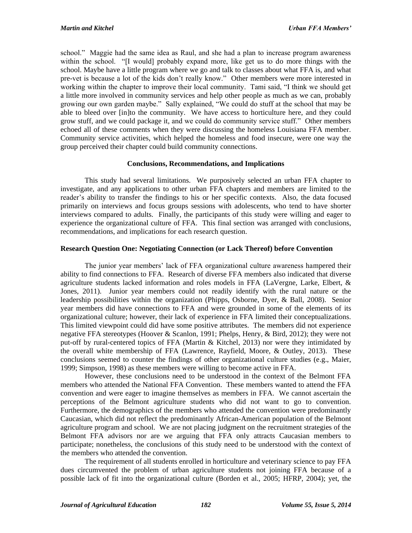school." Maggie had the same idea as Raul, and she had a plan to increase program awareness within the school. "[I would] probably expand more, like get us to do more things with the school. Maybe have a little program where we go and talk to classes about what FFA is, and what pre-vet is because a lot of the kids don't really know." Other members were more interested in working within the chapter to improve their local community. Tami said, "I think we should get a little more involved in community services and help other people as much as we can, probably growing our own garden maybe." Sally explained, "We could do stuff at the school that may be able to bleed over [in]to the community. We have access to horticulture here, and they could grow stuff, and we could package it, and we could do community service stuff." Other members echoed all of these comments when they were discussing the homeless Louisiana FFA member. Community service activities, which helped the homeless and food insecure, were one way the group perceived their chapter could build community connections.

# **Conclusions, Recommendations, and Implications**

This study had several limitations. We purposively selected an urban FFA chapter to investigate, and any applications to other urban FFA chapters and members are limited to the reader's ability to transfer the findings to his or her specific contexts. Also, the data focused primarily on interviews and focus groups sessions with adolescents, who tend to have shorter interviews compared to adults. Finally, the participants of this study were willing and eager to experience the organizational culture of FFA. This final section was arranged with conclusions, recommendations, and implications for each research question.

# **Research Question One: Negotiating Connection (or Lack Thereof) before Convention**

The junior year members' lack of FFA organizational culture awareness hampered their ability to find connections to FFA. Research of diverse FFA members also indicated that diverse agriculture students lacked information and roles models in FFA (LaVergne, Larke, Elbert, & Jones, 2011). Junior year members could not readily identify with the rural nature or the leadership possibilities within the organization (Phipps, Osborne, Dyer, & Ball, 2008). Senior year members did have connections to FFA and were grounded in some of the elements of its organizational culture; however, their lack of experience in FFA limited their conceptualizations. This limited viewpoint could did have some positive attributes. The members did not experience negative FFA stereotypes (Hoover & Scanlon, 1991; Phelps, Henry, & Bird, 2012); they were not put-off by rural-centered topics of FFA (Martin & Kitchel, 2013) nor were they intimidated by the overall white membership of FFA (Lawrence, Rayfield, Moore, & Outley, 2013). These conclusions seemed to counter the findings of other organizational culture studies (e.g., Maier, 1999; Simpson, 1998) as these members were willing to become active in FFA.

However, these conclusions need to be understood in the context of the Belmont FFA members who attended the National FFA Convention. These members wanted to attend the FFA convention and were eager to imagine themselves as members in FFA. We cannot ascertain the perceptions of the Belmont agriculture students who did not want to go to convention. Furthermore, the demographics of the members who attended the convention were predominantly Caucasian, which did not reflect the predominantly African-American population of the Belmont agriculture program and school. We are not placing judgment on the recruitment strategies of the Belmont FFA advisors nor are we arguing that FFA only attracts Caucasian members to participate; nonetheless, the conclusions of this study need to be understood with the context of the members who attended the convention.

The requirement of all students enrolled in horticulture and veterinary science to pay FFA dues circumvented the problem of urban agriculture students not joining FFA because of a possible lack of fit into the organizational culture (Borden et al., 2005; HFRP, 2004); yet, the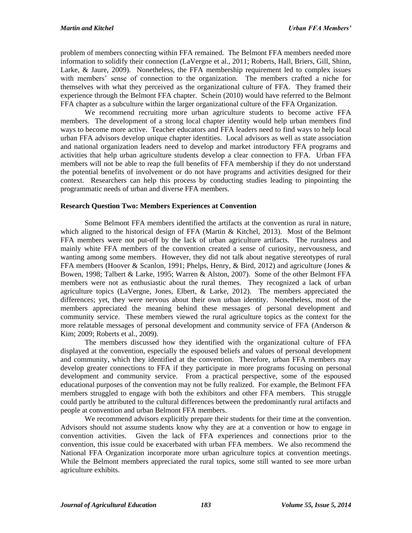problem of members connecting within FFA remained. The Belmont FFA members needed more information to solidify their connection (LaVergne et al., 2011; Roberts, Hall, Briers, Gill, Shinn, Larke, & Jaure, 2009). Nonetheless, the FFA membership requirement led to complex issues with members' sense of connection to the organization. The members crafted a niche for themselves with what they perceived as the organizational culture of FFA. They framed their experience through the Belmont FFA chapter. Schein (2010) would have referred to the Belmont FFA chapter as a subculture within the larger organizational culture of the FFA Organization.

We recommend recruiting more urban agriculture students to become active FFA members. The development of a strong local chapter identity would help urban members find ways to become more active. Teacher educators and FFA leaders need to find ways to help local urban FFA advisors develop unique chapter identities. Local advisors as well as state association and national organization leaders need to develop and market introductory FFA programs and activities that help urban agriculture students develop a clear connection to FFA. Urban FFA members will not be able to reap the full benefits of FFA membership if they do not understand the potential benefits of involvement or do not have programs and activities designed for their context. Researchers can help this process by conducting studies leading to pinpointing the programmatic needs of urban and diverse FFA members.

# **Research Question Two: Members Experiences at Convention**

Some Belmont FFA members identified the artifacts at the convention as rural in nature, which aligned to the historical design of FFA (Martin & Kitchel, 2013). Most of the Belmont FFA members were not put-off by the lack of urban agriculture artifacts. The ruralness and mainly white FFA members of the convention created a sense of curiosity, nervousness, and wanting among some members. However, they did not talk about negative stereotypes of rural FFA members (Hoover & Scanlon, 1991; Phelps, Henry, & Bird, 2012) and agriculture (Jones & Bowen, 1998; Talbert & Larke, 1995; Warren & Alston, 2007). Some of the other Belmont FFA members were not as enthusiastic about the rural themes. They recognized a lack of urban agriculture topics (LaVergne, Jones, Elbert,  $\&$  Larke, 2012). The members appreciated the differences; yet, they were nervous about their own urban identity. Nonetheless, most of the members appreciated the meaning behind these messages of personal development and community service. These members viewed the rural agriculture topics as the context for the more relatable messages of personal development and community service of FFA (Anderson & Kim; 2009; Roberts et al., 2009).

The members discussed how they identified with the organizational culture of FFA displayed at the convention, especially the espoused beliefs and values of personal development and community, which they identified at the convention. Therefore, urban FFA members may develop greater connections to FFA if they participate in more programs focusing on personal development and community service. From a practical perspective, some of the espoused educational purposes of the convention may not be fully realized. For example, the Belmont FFA members struggled to engage with both the exhibitors and other FFA members. This struggle could partly be attributed to the cultural differences between the predominantly rural artifacts and people at convention and urban Belmont FFA members.

We recommend advisors explicitly prepare their students for their time at the convention. Advisors should not assume students know why they are at a convention or how to engage in convention activities. Given the lack of FFA experiences and connections prior to the convention, this issue could be exacerbated with urban FFA members. We also recommend the National FFA Organization incorporate more urban agriculture topics at convention meetings. While the Belmont members appreciated the rural topics, some still wanted to see more urban agriculture exhibits.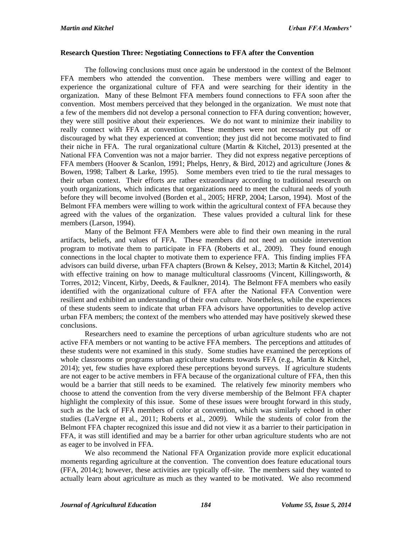#### **Research Question Three: Negotiating Connections to FFA after the Convention**

The following conclusions must once again be understood in the context of the Belmont FFA members who attended the convention. These members were willing and eager to experience the organizational culture of FFA and were searching for their identity in the organization. Many of these Belmont FFA members found connections to FFA soon after the convention. Most members perceived that they belonged in the organization. We must note that a few of the members did not develop a personal connection to FFA during convention; however, they were still positive about their experiences. We do not want to minimize their inability to really connect with FFA at convention. These members were not necessarily put off or discouraged by what they experienced at convention; they just did not become motivated to find their niche in FFA. The rural organizational culture (Martin & Kitchel, 2013) presented at the National FFA Convention was not a major barrier. They did not express negative perceptions of FFA members (Hoover & Scanlon, 1991; Phelps, Henry, & Bird, 2012) and agriculture (Jones & Bowen, 1998; Talbert & Larke, 1995). Some members even tried to tie the rural messages to their urban context. Their efforts are rather extraordinary according to traditional research on youth organizations, which indicates that organizations need to meet the cultural needs of youth before they will become involved (Borden et al., 2005; HFRP, 2004; Larson, 1994). Most of the Belmont FFA members were willing to work within the agricultural context of FFA because they agreed with the values of the organization. These values provided a cultural link for these members (Larson, 1994).

Many of the Belmont FFA Members were able to find their own meaning in the rural artifacts, beliefs, and values of FFA. These members did not need an outside intervention program to motivate them to participate in FFA (Roberts et al., 2009). They found enough connections in the local chapter to motivate them to experience FFA. This finding implies FFA advisors can build diverse, urban FFA chapters (Brown & Kelsey, 2013; Martin & Kitchel, 2014) with effective training on how to manage multicultural classrooms (Vincent, Killingsworth, & Torres, 2012; Vincent, Kirby, Deeds, & Faulkner, 2014). The Belmont FFA members who easily identified with the organizational culture of FFA after the National FFA Convention were resilient and exhibited an understanding of their own culture. Nonetheless, while the experiences of these students seem to indicate that urban FFA advisors have opportunities to develop active urban FFA members; the context of the members who attended may have positively skewed these conclusions.

Researchers need to examine the perceptions of urban agriculture students who are not active FFA members or not wanting to be active FFA members. The perceptions and attitudes of these students were not examined in this study. Some studies have examined the perceptions of whole classrooms or programs urban agriculture students towards FFA (e.g., Martin & Kitchel, 2014); yet, few studies have explored these perceptions beyond surveys. If agriculture students are not eager to be active members in FFA because of the organizational culture of FFA, then this would be a barrier that still needs to be examined. The relatively few minority members who choose to attend the convention from the very diverse membership of the Belmont FFA chapter highlight the complexity of this issue. Some of these issues were brought forward in this study, such as the lack of FFA members of color at convention, which was similarly echoed in other studies (LaVergne et al., 2011; Roberts et al., 2009). While the students of color from the Belmont FFA chapter recognized this issue and did not view it as a barrier to their participation in FFA, it was still identified and may be a barrier for other urban agriculture students who are not as eager to be involved in FFA.

We also recommend the National FFA Organization provide more explicit educational moments regarding agriculture at the convention. The convention does feature educational tours (FFA, 2014c); however, these activities are typically off-site. The members said they wanted to actually learn about agriculture as much as they wanted to be motivated. We also recommend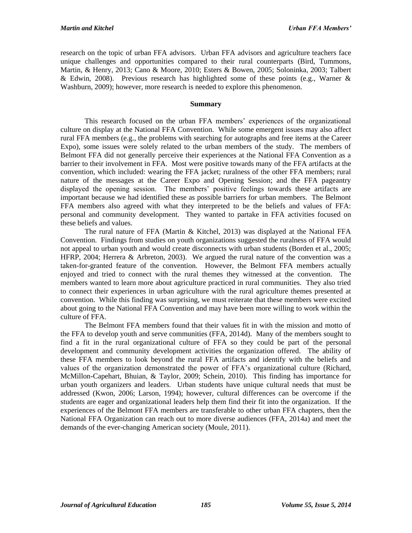research on the topic of urban FFA advisors. Urban FFA advisors and agriculture teachers face unique challenges and opportunities compared to their rural counterparts (Bird, Tummons, Martin, & Henry, 2013; Cano & Moore, 2010; Esters & Bowen, 2005; Soloninka, 2003; Talbert & Edwin, 2008). Previous research has highlighted some of these points (e.g., Warner  $\&$ Washburn, 2009); however, more research is needed to explore this phenomenon.

## **Summary**

This research focused on the urban FFA members' experiences of the organizational culture on display at the National FFA Convention. While some emergent issues may also affect rural FFA members (e.g., the problems with searching for autographs and free items at the Career Expo), some issues were solely related to the urban members of the study. The members of Belmont FFA did not generally perceive their experiences at the National FFA Convention as a barrier to their involvement in FFA. Most were positive towards many of the FFA artifacts at the convention, which included: wearing the FFA jacket; ruralness of the other FFA members; rural nature of the messages at the Career Expo and Opening Session; and the FFA pageantry displayed the opening session. The members' positive feelings towards these artifacts are important because we had identified these as possible barriers for urban members. The Belmont FFA members also agreed with what they interpreted to be the beliefs and values of FFA: personal and community development. They wanted to partake in FFA activities focused on these beliefs and values.

The rural nature of FFA (Martin & Kitchel, 2013) was displayed at the National FFA Convention. Findings from studies on youth organizations suggested the ruralness of FFA would not appeal to urban youth and would create disconnects with urban students (Borden et al., 2005; HFRP, 2004; Herrera & Arbreton, 2003). We argued the rural nature of the convention was a taken-for-granted feature of the convention. However, the Belmont FFA members actually enjoyed and tried to connect with the rural themes they witnessed at the convention. The members wanted to learn more about agriculture practiced in rural communities. They also tried to connect their experiences in urban agriculture with the rural agriculture themes presented at convention. While this finding was surprising, we must reiterate that these members were excited about going to the National FFA Convention and may have been more willing to work within the culture of FFA.

The Belmont FFA members found that their values fit in with the mission and motto of the FFA to develop youth and serve communities (FFA, 2014d). Many of the members sought to find a fit in the rural organizational culture of FFA so they could be part of the personal development and community development activities the organization offered. The ability of these FFA members to look beyond the rural FFA artifacts and identify with the beliefs and values of the organization demonstrated the power of FFA's organizational culture (Richard, McMillon-Capehart, Bhuian, & Taylor, 2009; Schein, 2010). This finding has importance for urban youth organizers and leaders. Urban students have unique cultural needs that must be addressed (Kwon, 2006; Larson, 1994); however, cultural differences can be overcome if the students are eager and organizational leaders help them find their fit into the organization. If the experiences of the Belmont FFA members are transferable to other urban FFA chapters, then the National FFA Organization can reach out to more diverse audiences (FFA, 2014a) and meet the demands of the ever-changing American society (Moule, 2011).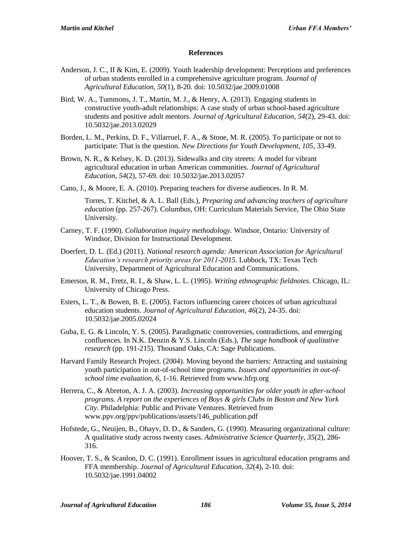## **References**

- Anderson, J. C., II & Kim, E. (2009). Youth leadership development: Perceptions and preferences of urban students enrolled in a comprehensive agriculture program. *Journal of Agricultural Education, 50*(1), 8-20. doi: 10.5032/jae.2009.01008
- Bird, W. A., Tummons, J. T., Martin, M. J., & Henry, A. (2013). Engaging students in constructive youth-adult relationships: A case study of urban school-based agriculture students and positive adult mentors. *Journal of Agricultural Education, 54*(2), 29-43. doi: 10.5032/jae.2013.02029
- Borden, L. M., Perkins, D. F., Villarruel, F. A., & Stone, M. R. (2005). To participate or not to participate: That is the question. *New Directions for Youth Development, 105*, 33-49.
- Brown, N. R., & Kelsey, K. D. (2013). Sidewalks and city streets: A model for vibrant agricultural education in urban American communities. *Journal of Agricultural Education, 54*(2), 57-69. doi: 10.5032/jae.2013.02057
- Cano, J., & Moore, E. A. (2010). Preparing teachers for diverse audiences. In R. M.

Torres, T. Kitchel, & A. L. Ball (Eds.), *Preparing and advancing teachers of agriculture education* (pp. 257-267). Columbus, OH: Curriculum Materials Service, The Ohio State University.

- Carney, T. F. (1990)*. Collaboration inquiry methodology.* Windsor, Ontario*:* University of Windsor, Division for Instructional Development.
- Doerfert, D. L. (Ed.) (2011). *National research agenda: American Association for Agricultural Education's research priority areas for 2011-2015*. Lubbock, TX: Texas Tech University, Department of Agricultural Education and Communications.
- Emerson, R. M., Fretz, R. I., & Shaw, L. L. (1995). *Writing ethnographic fieldnotes*. Chicago, IL: University of Chicago Press.
- Esters, L. T., & Bowen, B. E. (2005). Factors influencing career choices of urban agricultural education students. *Journal of Agricultural Education, 46*(2), 24-35. doi: 10.5032/jae.2005.02024
- Guba, E. G. & Lincoln, Y. S. (2005). Paradigmatic controversies, contradictions, and emerging confluences. In N.K. Denzin & Y.S. Lincoln (Eds.), *The sage handbook of qualitative research* (pp. 191-215). Thousand Oaks, CA: Sage Publications.
- Harvard Family Research Project. (2004). Moving beyond the barriers: Attracting and sustaining youth participation in out-of-school time programs. *Issues and opportunities in out-ofschool time evaluation, 6*, 1-16. Retrieved from www.hfrp.org
- Herrera, C., & Abreton, A. J. A. (2003). *Increasing opportunities for older youth in after-school programs. A report on the experiences of Boys & girls Clubs in Boston and New York City*. Philadelphia: Public and Private Ventures. Retrieved from www.ppv.org/ppv/publications/assets/146\_publication.pdf
- Hofstede, G., Neuijen, B., Ohayv, D. D., & Sanders, G. (1990). Measuring organizational culture: A qualitative study across twenty cases. *Administrative Science Quarterly, 35*(2), 286- 316.
- Hoover, T. S., & Scanlon, D. C. (1991). Enrollment issues in agricultural education programs and FFA membership. *Journal of Agricultural Education, 32*(4), 2-10. doi: 10.5032/jae.1991.04002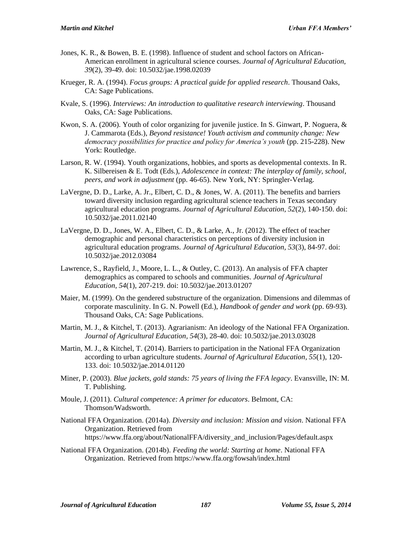- Jones, K. R., & Bowen, B. E. (1998). Influence of student and school factors on African-American enrollment in agricultural science courses. *Journal of Agricultural Education, 39*(2), 39-49. doi: 10.5032/jae.1998.02039
- Krueger, R. A. (1994). *Focus groups: A practical guide for applied research*. Thousand Oaks, CA: Sage Publications.
- Kvale, S. (1996). *Interviews: An introduction to qualitative research interviewing*. Thousand Oaks, CA: Sage Publications.
- Kwon, S. A. (2006). Youth of color organizing for juvenile justice. In S. Ginwart, P. Noguera, & J. Cammarota (Eds.), *Beyond resistance! Youth activism and community change: New democracy possibilities for practice and policy for America's youth* (pp. 215-228). New York: Routledge.
- Larson, R. W. (1994). Youth organizations, hobbies, and sports as developmental contexts. In R. K. Silbereisen & E. Todt (Eds.), *Adolescence in context: The interplay of family, school, peers, and work in adjustment* (pp. 46-65). New York, NY: Springler-Verlag.
- LaVergne, D. D., Larke, A. Jr., Elbert, C. D., & Jones, W. A. (2011). The benefits and barriers toward diversity inclusion regarding agricultural science teachers in Texas secondary agricultural education programs. *Journal of Agricultural Education, 52*(2), 140-150. doi: 10.5032/jae.2011.02140
- LaVergne, D. D., Jones, W. A., Elbert, C. D., & Larke, A., Jr. (2012). The effect of teacher demographic and personal characteristics on perceptions of diversity inclusion in agricultural education programs. *Journal of Agricultural Education, 53*(3), 84-97. doi: 10.5032/jae.2012.03084
- Lawrence, S., Rayfield, J., Moore, L. L., & Outley, C. (2013). An analysis of FFA chapter demographics as compared to schools and communities. *Journal of Agricultural Education, 54*(1), 207-219. doi: 10.5032/jae.2013.01207
- Maier, M. (1999). On the gendered substructure of the organization. Dimensions and dilemmas of corporate masculinity. In G. N. Powell (Ed.), *Handbook of gender and work* (pp. 69-93). Thousand Oaks, CA: Sage Publications.
- Martin, M. J., & Kitchel, T. (2013). Agrarianism: An ideology of the National FFA Organization. *Journal of Agricultural Education, 54*(3), 28-40. doi: 10.5032/jae.2013.03028
- Martin, M. J., & Kitchel, T. (2014). Barriers to participation in the National FFA Organization according to urban agriculture students. *Journal of Agricultural Education, 55*(1), 120- 133. doi: 10.5032/jae.2014.01120
- Miner, P. (2003). *Blue jackets, gold stands: 75 years of living the FFA legacy*. Evansville, IN: M. T. Publishing.
- Moule, J. (2011). *Cultural competence: A primer for educators*. Belmont, CA: Thomson/Wadsworth.
- National FFA Organization. (2014a). *Diversity and inclusion: Mission and vision*. National FFA Organization. Retrieved from https://www.ffa.org/about/NationalFFA/diversity\_and\_inclusion/Pages/default.aspx
- National FFA Organization. (2014b). *Feeding the world: Starting at home*. National FFA Organization. Retrieved from https://www.ffa.org/fowsah/index.html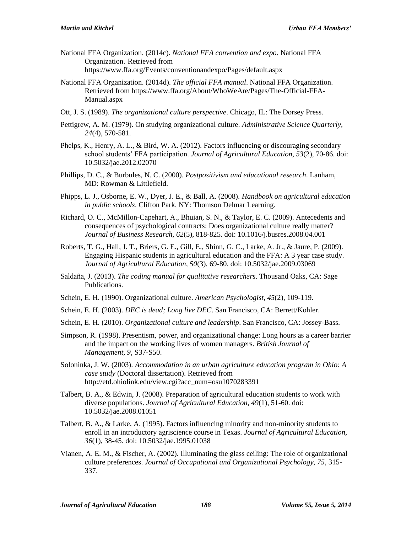- National FFA Organization. (2014c). *National FFA convention and expo*. National FFA Organization. Retrieved from https://www.ffa.org/Events/conventionandexpo/Pages/default.aspx
- National FFA Organization. (2014d). *The official FFA manual*. National FFA Organization. Retrieved from https://www.ffa.org/About/WhoWeAre/Pages/The-Official-FFA-Manual.aspx
- Ott, J. S. (1989). *The organizational culture perspective*. Chicago, IL: The Dorsey Press.
- Pettigrew, A. M. (1979). On studying organizational culture. *Administrative Science Quarterly, 24*(4), 570-581.
- Phelps, K., Henry, A. L., & Bird, W. A. (2012). Factors influencing or discouraging secondary school students' FFA participation. *Journal of Agricultural Education, 53*(2), 70-86. doi: 10.5032/jae.2012.02070
- Phillips, D. C., & Burbules, N. C. (2000). *Postpositivism and educational research*. Lanham, MD: Rowman & Littlefield.
- Phipps, L. J., Osborne, E. W., Dyer, J. E., & Ball, A. (2008). *Handbook on agricultural education in public schools*. Clifton Park, NY: Thomson Delmar Learning.
- Richard, O. C., McMillon-Capehart, A., Bhuian, S. N., & Taylor, E. C. (2009). Antecedents and consequences of psychological contracts: Does organizational culture really matter? *Journal of Business Research, 62*(5), 818-825. doi: 10.1016/j.busres.2008.04.001
- Roberts, T. G., Hall, J. T., Briers, G. E., Gill, E., Shinn, G. C., Larke, A. Jr., & Jaure, P. (2009). Engaging Hispanic students in agricultural education and the FFA: A 3 year case study. *Journal of Agricultural Education, 50*(3), 69-80. doi: 10.5032/jae.2009.03069
- Saldaña, J. (2013). *The coding manual for qualitative researchers*. Thousand Oaks, CA: Sage Publications.
- Schein, E. H. (1990). Organizational culture. *American Psychologist, 45*(2), 109-119.
- Schein, E. H. (2003). *DEC is dead; Long live DEC*. San Francisco, CA: Berrett/Kohler.
- Schein, E. H. (2010). *Organizational culture and leadership*. San Francisco, CA: Jossey-Bass.
- Simpson, R. (1998). Presentism, power, and organizational change: Long hours as a career barrier and the impact on the working lives of women managers. *British Journal of Management, 9*, S37-S50.
- Soloninka, J. W. (2003). *Accommodation in an urban agriculture education program in Ohio: A case study* (Doctoral dissertation). Retrieved from http://etd.ohiolink.edu/view.cgi?acc\_num=osu1070283391
- Talbert, B. A., & Edwin, J. (2008). Preparation of agricultural education students to work with diverse populations. *Journal of Agricultural Education, 49*(1), 51-60. doi: 10.5032/jae.2008.01051
- Talbert, B. A., & Larke, A. (1995). Factors influencing minority and non-minority students to enroll in an introductory agriscience course in Texas. *Journal of Agricultural Education, 36*(1), 38-45. doi: 10.5032/jae.1995.01038
- Vianen, A. E. M., & Fischer, A. (2002). Illuminating the glass ceiling: The role of organizational culture preferences. *Journal of Occupational and Organizational Psychology, 75*, 315- 337.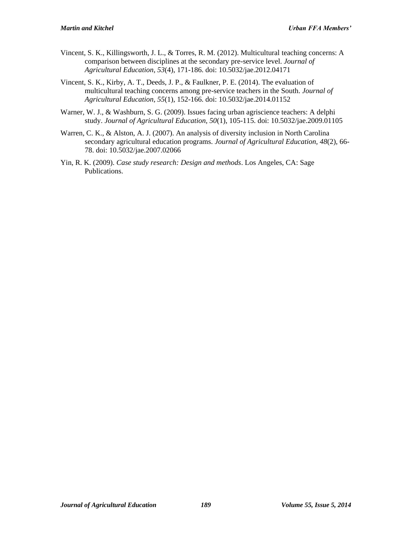- Vincent, S. K., Killingsworth, J. L., & Torres, R. M. (2012). Multicultural teaching concerns: A comparison between disciplines at the secondary pre-service level. *Journal of Agricultural Education, 53*(4), 171-186. doi: 10.5032/jae.2012.04171
- Vincent, S. K., Kirby, A. T., Deeds, J. P., & Faulkner, P. E. (2014). The evaluation of multicultural teaching concerns among pre-service teachers in the South. *Journal of Agricultural Education, 55*(1), 152-166. doi: 10.5032/jae.2014.01152
- Warner, W. J., & Washburn, S. G. (2009). Issues facing urban agriscience teachers: A delphi study. *Journal of Agricultural Education, 50*(1), 105-115. doi: 10.5032/jae.2009.01105
- Warren, C. K., & Alston, A. J. (2007). An analysis of diversity inclusion in North Carolina secondary agricultural education programs. *Journal of Agricultural Education, 48*(2), 66- 78. doi: 10.5032/jae.2007.02066
- Yin, R. K. (2009). *Case study research: Design and methods*. Los Angeles, CA: Sage Publications.